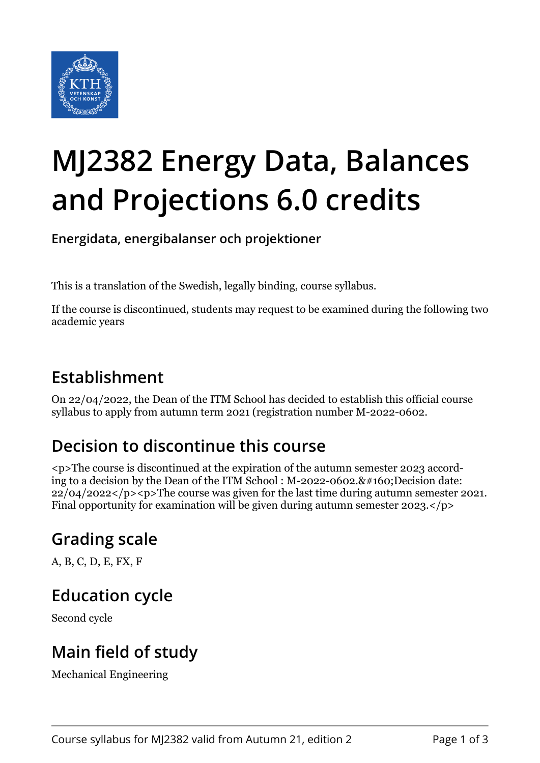

# **MJ2382 Energy Data, Balances and Projections 6.0 credits**

**Energidata, energibalanser och projektioner**

This is a translation of the Swedish, legally binding, course syllabus.

If the course is discontinued, students may request to be examined during the following two academic years

#### **Establishment**

On 22/04/2022, the Dean of the ITM School has decided to establish this official course syllabus to apply from autumn term 2021 (registration number M-2022-0602.

## **Decision to discontinue this course**

<p>The course is discontinued at the expiration of the autumn semester 2023 according to a decision by the Dean of the ITM School :  $M$ -2022-0602. $$ ; Decision date:  $22/04/2022$  </p>  $\leq$  p>The course was given for the last time during autumn semester 2021. Final opportunity for examination will be given during autumn semester 2023.</p>

## **Grading scale**

A, B, C, D, E, FX, F

#### **Education cycle**

Second cycle

### **Main field of study**

Mechanical Engineering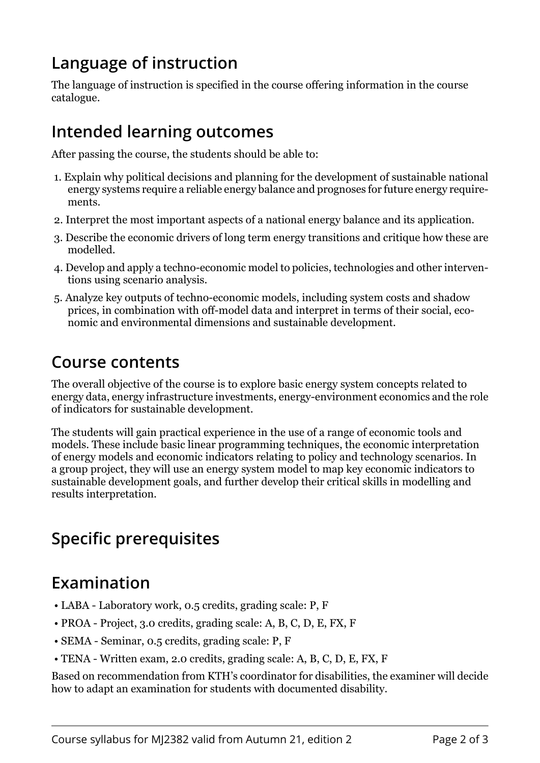## **Language of instruction**

The language of instruction is specified in the course offering information in the course catalogue.

#### **Intended learning outcomes**

After passing the course, the students should be able to:

- 1. Explain why political decisions and planning for the development of sustainable national energy systems require a reliable energy balance and prognoses for future energy requirements.
- 2. Interpret the most important aspects of a national energy balance and its application.
- 3. Describe the economic drivers of long term energy transitions and critique how these are modelled.
- 4. Develop and apply a techno-economic model to policies, technologies and other interventions using scenario analysis.
- 5. Analyze key outputs of techno-economic models, including system costs and shadow prices, in combination with off-model data and interpret in terms of their social, economic and environmental dimensions and sustainable development.

#### **Course contents**

The overall objective of the course is to explore basic energy system concepts related to energy data, energy infrastructure investments, energy-environment economics and the role of indicators for sustainable development.

The students will gain practical experience in the use of a range of economic tools and models. These include basic linear programming techniques, the economic interpretation of energy models and economic indicators relating to policy and technology scenarios. In a group project, they will use an energy system model to map key economic indicators to sustainable development goals, and further develop their critical skills in modelling and results interpretation.

## **Specific prerequisites**

#### **Examination**

- LABA Laboratory work, 0.5 credits, grading scale: P, F
- PROA Project, 3.0 credits, grading scale: A, B, C, D, E, FX, F
- SEMA Seminar, 0.5 credits, grading scale: P, F
- TENA Written exam, 2.0 credits, grading scale: A, B, C, D, E, FX, F

Based on recommendation from KTH's coordinator for disabilities, the examiner will decide how to adapt an examination for students with documented disability.